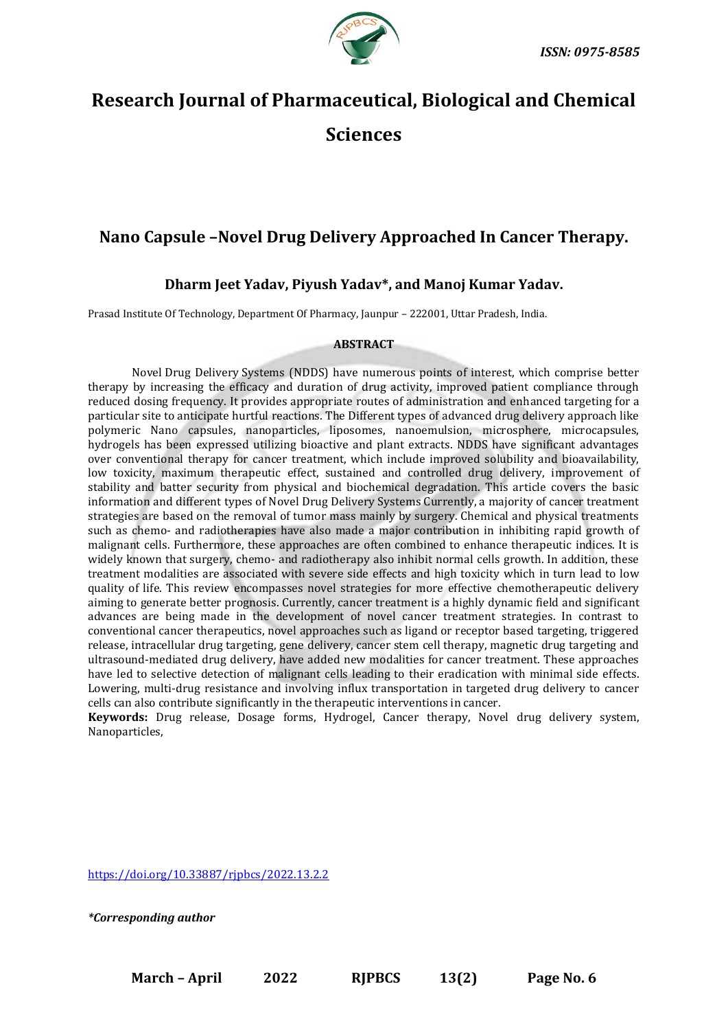

# **Research Journal of Pharmaceutical, Biological and Chemical Sciences**

# **Nano Capsule –Novel Drug Delivery Approached In Cancer Therapy.**

# **Dharm Jeet Yadav, Piyush Yadav\*, and Manoj Kumar Yadav.**

Prasad Institute Of Technology, Department Of Pharmacy, Jaunpur – 222001, Uttar Pradesh, India.

# **ABSTRACT**

Novel [Drug Delivery](https://www.rroij.com/journals/drug-delivery-821.html) Systems (NDDS) have numerous points of interest, which comprise better therapy by increasing the efficacy and duration of drug activity, improved patient compliance through reduced dosing frequency. It provides appropriate routes of administration and enhanced targeting for a particular site to anticipate hurtful reactions. The Different types of advanced drug delivery approach like polymeric Nano capsules, nanoparticles, liposomes, nanoemulsion, microsphere, microcapsules, hydrogels has been expressed utilizing bioactive and plant extracts. NDDS have significant advantages over conventional therapy for cancer treatment, which include improved solubility and bioavailability, low toxicity, maximum therapeutic effect, sustained and controlled drug delivery, improvement of stability and batter security from physical and biochemical degradation. This article covers the basic information and different types of Novel [Drug Delivery](https://www.rroij.com/journals/drug-delivery-821.html) Systems Currently, a majority of cancer treatment strategies are based on the removal of tumor mass mainly by surgery. Chemical and physical treatments such as chemo- and radiotherapies have also made a major contribution in inhibiting rapid growth of malignant cells. Furthermore, these approaches are often combined to enhance therapeutic indices. It is widely known that surgery, chemo- and radiotherapy also inhibit normal cells growth. In addition, these treatment modalities are associated with severe side effects and high toxicity which in turn lead to low quality of life. This review encompasses novel strategies for more effective chemotherapeutic delivery aiming to generate better prognosis. Currently, cancer treatment is a highly dynamic field and significant advances are being made in the development of novel cancer treatment strategies. In contrast to conventional cancer therapeutics, novel approaches such as ligand or receptor based targeting, triggered release, intracellular drug targeting, gene delivery, cancer stem cell therapy, magnetic drug targeting and ultrasound-mediated drug delivery, have added new modalities for cancer treatment. These approaches have led to selective detection of malignant cells leading to their eradication with minimal side effects. Lowering, multi-drug resistance and involving influx transportation in targeted drug delivery to cancer cells can also contribute significantly in the therapeutic interventions in cancer.

**Keywords:** Drug release, Dosage forms, Hydrogel, Cancer therapy, Novel drug delivery system, Nanoparticles,

<https://doi.org/10.33887/rjpbcs/2022.13.2.2>

*\*Corresponding author*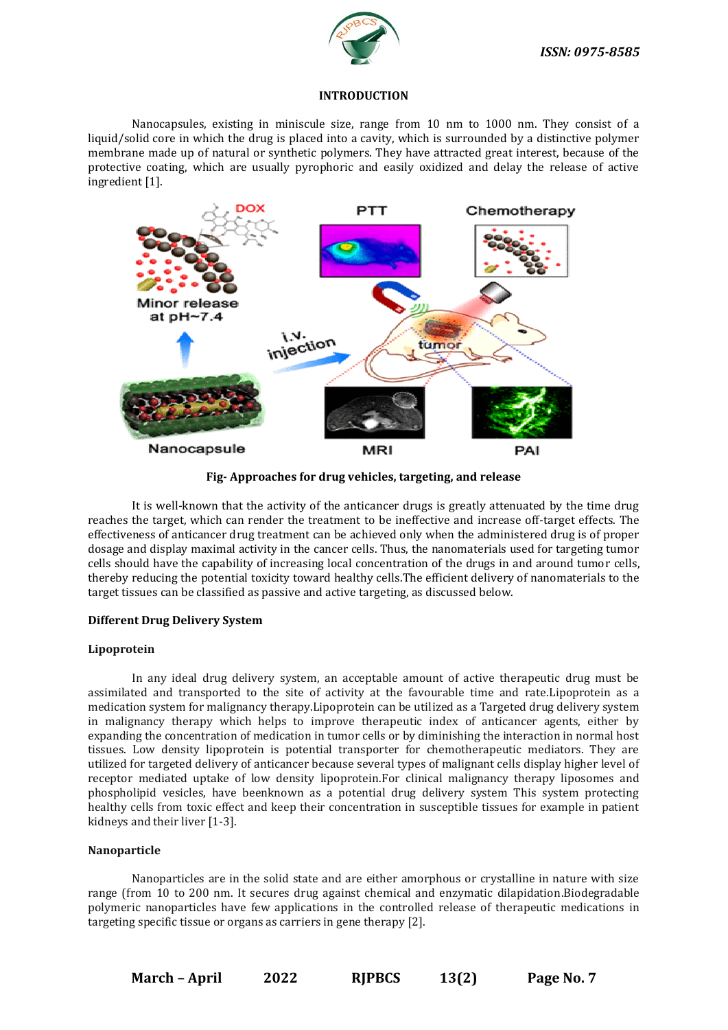

# **INTRODUCTION**

Nanocapsules, existing in miniscule size, range from 10 nm to 1000 nm. They consist of a liquid/solid core in which the drug is placed into a cavity, which is surrounded by a distinctive polymer membrane made up of natural or synthetic polymers. They have attracted great interest, because of the protective coating, which are usually pyrophoric and easily oxidized and delay the release of active ingredient [1].



**Fig- Approaches for drug vehicles, targeting, and release**

It is well-known that the activity of the anticancer drugs is greatly attenuated by the time drug reaches the target, which can render the treatment to be ineffective and increase off-target effects. The effectiveness of anticancer drug treatment can be achieved only when the administered drug is of proper dosage and display maximal activity in the cancer cells. Thus, the nanomaterials used for targeting tumor cells should have the capability of increasing local concentration of the drugs in and around tumor cells, thereby reducing the potential toxicity toward healthy cells.The efficient delivery of nanomaterials to the target tissues can be classified as passive and active targeting, as discussed below.

# **Different [Drug Delivery](https://www.rroij.com/journals/drug-delivery-821.html) System**

# **Lipoprotein**

In any ideal drug delivery system, an acceptable amount of active therapeutic drug must be assimilated and transported to the site of activity at the favourable time and rate.Lipoprotein as a medication system for malignancy therapy.Lipoprotein can be utilized as a Targeted drug delivery system in malignancy therapy which helps to improve therapeutic index of anticancer agents, either by expanding the concentration of medication in tumor cells or by diminishing the interaction in normal host tissues. Low density lipoprotein is potential transporter for chemotherapeutic mediators. They are utilized for targeted delivery of anticancer because several types of malignant cells display higher level of receptor mediated uptake of low density lipoprotein.For clinical malignancy therapy liposomes and phospholipid vesicles, have beenknown as a potential drug delivery system This system protecting healthy cells from toxic effect and keep their concentration in susceptible tissues for example in patient kidneys and their liver [1-3].

# **Nanoparticle**

Nanoparticles are in the solid state and are either amorphous or crystalline in nature with size range (from 10 to 200 nm. It secures drug against chemical and enzymatic dilapidation.Biodegradable polymeric nanoparticles have few applications in the controlled release of therapeutic medications in targeting specific tissue or organs as carriers in gene therapy [2].

**March – April 2022 RJPBCS 13(2) Page No. 7**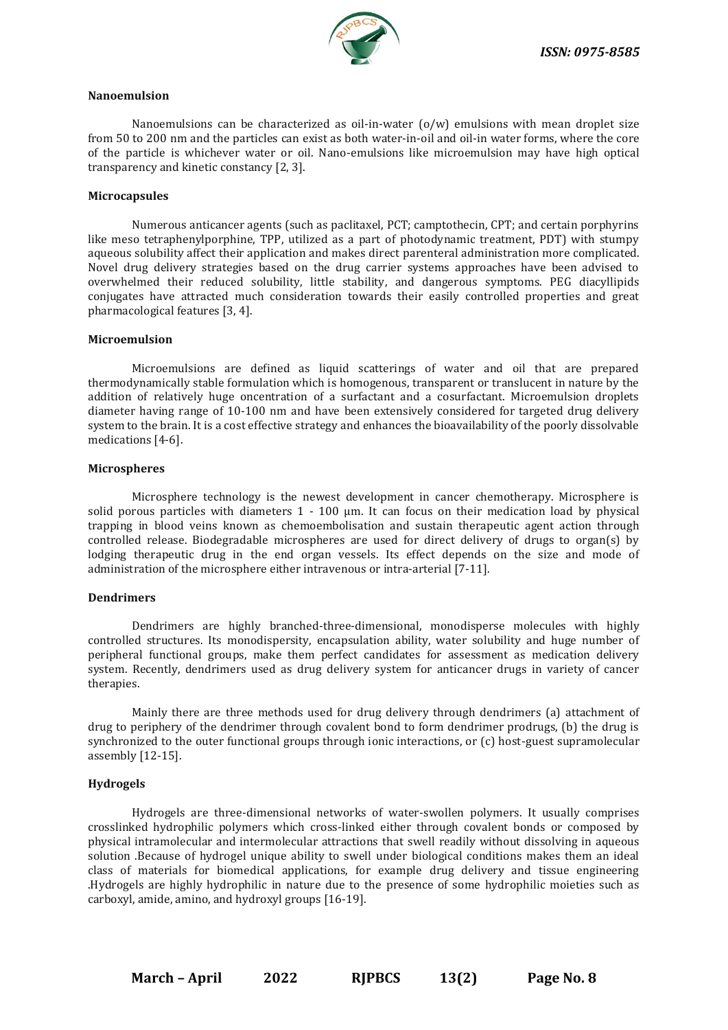

#### **Nanoemulsion**

Nanoemulsions can be characterized as oil-in-water (o/w) emulsions with mean droplet size from 50 to 200 nm and the particles can exist as both water-in-oil and oil-in water forms, where the core of the particle is whichever water or oil. Nano-emulsions like microemulsion may have high optical transparency and kinetic constancy [2, 3].

# **Microcapsules**

Numerous anticancer agents (such as paclitaxel, PCT; camptothecin, CPT; and certain porphyrins like meso tetraphenylporphine, TPP, utilized as a part of photodynamic treatment, PDT) with stumpy aqueous solubility affect their application and makes direct parenteral administration more complicated. Novel drug delivery strategies based on the drug carrier systems approaches have been advised to overwhelmed their reduced solubility, little stability, and dangerous symptoms. PEG diacyllipids conjugates have attracted much consideration towards their easily controlled properties and great pharmacological features [3, 4].

#### **Microemulsion**

Microemulsions are defined as liquid scatterings of water and oil that are prepared thermodynamically stable formulation which is homogenous, transparent or translucent in nature by the addition of relatively huge oncentration of a surfactant and a cosurfactant. Microemulsion droplets diameter having range of 10-100 nm and have been extensively considered for targeted drug delivery system to the brain. It is a cost effective strategy and enhances the bioavailability of the poorly dissolvable medications [4-6].

#### **Microspheres**

Microsphere technology is the newest development in cancer chemotherapy. Microsphere is solid porous particles with diameters 1 - 100 μm. It can focus on their medication load by physical trapping in blood veins known as chemoembolisation and sustain therapeutic agent action through controlled release. Biodegradable microspheres are used for direct delivery of drugs to organ(s) by lodging therapeutic drug in the end organ vessels. Its effect depends on the size and mode of administration of the microsphere either intravenous or intra-arterial [7-11].

# **Dendrimers**

Dendrimers are highly branched-three-dimensional, monodisperse molecules with highly controlled structures. Its monodispersity, encapsulation ability, water solubility and huge number of peripheral functional groups, make them perfect candidates for assessment as medication delivery system. Recently, dendrimers used as drug delivery system for anticancer drugs in variety of cancer therapies.

Mainly there are three methods used for drug delivery through dendrimers (a) attachment of drug to periphery of the dendrimer through covalent bond to form dendrimer prodrugs, (b) the drug is synchronized to the outer functional groups through ionic interactions, or (c) host-guest supramolecular assembly [12-15].

#### **Hydrogels**

Hydrogels are three-dimensional networks of water-swollen polymers. It usually comprises crosslinked hydrophilic polymers which cross-linked either through covalent bonds or composed by physical intramolecular and intermolecular attractions that swell readily without dissolving in aqueous solution .Because of hydrogel unique ability to swell under biological conditions makes them an ideal class of materials for biomedical applications, for example drug delivery and tissue engineering .Hydrogels are highly hydrophilic in nature due to the presence of some hydrophilic moieties such as carboxyl, amide, amino, and hydroxyl groups [16-19].

**March – April 2022 RJPBCS 13(2) Page No. 8**